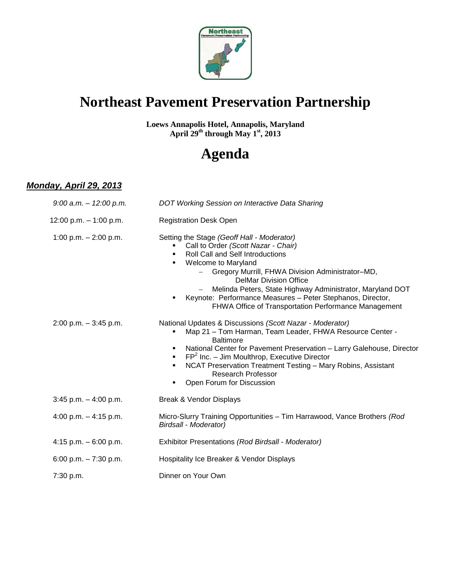

## **Northeast Pavement Preservation Partnership**

**Loews Annapolis Hotel, Annapolis, Maryland April 29th through May 1st, 2013**

# **Agenda**

#### *Monday, April 29, 2013*

| $9:00$ a.m. $-12:00$ p.m. | DOT Working Session on Interactive Data Sharing                                                                                                                                                                                                                                                                                                                                                                                                         |
|---------------------------|---------------------------------------------------------------------------------------------------------------------------------------------------------------------------------------------------------------------------------------------------------------------------------------------------------------------------------------------------------------------------------------------------------------------------------------------------------|
| 12:00 p.m. $-$ 1:00 p.m.  | <b>Registration Desk Open</b>                                                                                                                                                                                                                                                                                                                                                                                                                           |
| 1:00 p.m. $- 2:00$ p.m.   | Setting the Stage (Geoff Hall - Moderator)<br>Call to Order (Scott Nazar - Chair)<br><b>Roll Call and Self Introductions</b><br>Welcome to Maryland<br>Gregory Murrill, FHWA Division Administrator-MD,<br><b>DelMar Division Office</b><br>Melinda Peters, State Highway Administrator, Maryland DOT<br>$\overline{\phantom{m}}$<br>Keynote: Performance Measures - Peter Stephanos, Director,<br>FHWA Office of Transportation Performance Management |
| $2:00$ p.m. $-3:45$ p.m.  | National Updates & Discussions (Scott Nazar - Moderator)<br>Map 21 - Tom Harman, Team Leader, FHWA Resource Center -<br><b>Baltimore</b><br>National Center for Pavement Preservation - Larry Galehouse, Director<br><b>FP</b> <sup>2</sup> Inc. - Jim Moulthrop, Executive Director<br>NCAT Preservation Treatment Testing - Mary Robins, Assistant<br>٠<br><b>Research Professor</b><br>Open Forum for Discussion<br>٠                                |
| $3:45$ p.m. $-4:00$ p.m.  | Break & Vendor Displays                                                                                                                                                                                                                                                                                                                                                                                                                                 |
| 4:00 p.m. $-$ 4:15 p.m.   | Micro-Slurry Training Opportunities - Tim Harrawood, Vance Brothers (Rod<br><b>Birdsall - Moderator)</b>                                                                                                                                                                                                                                                                                                                                                |
| 4:15 p.m. $-6:00$ p.m.    | Exhibitor Presentations (Rod Birdsall - Moderator)                                                                                                                                                                                                                                                                                                                                                                                                      |
| 6:00 p.m. $-7:30$ p.m.    | Hospitality Ice Breaker & Vendor Displays                                                                                                                                                                                                                                                                                                                                                                                                               |
| 7:30 p.m.                 | Dinner on Your Own                                                                                                                                                                                                                                                                                                                                                                                                                                      |